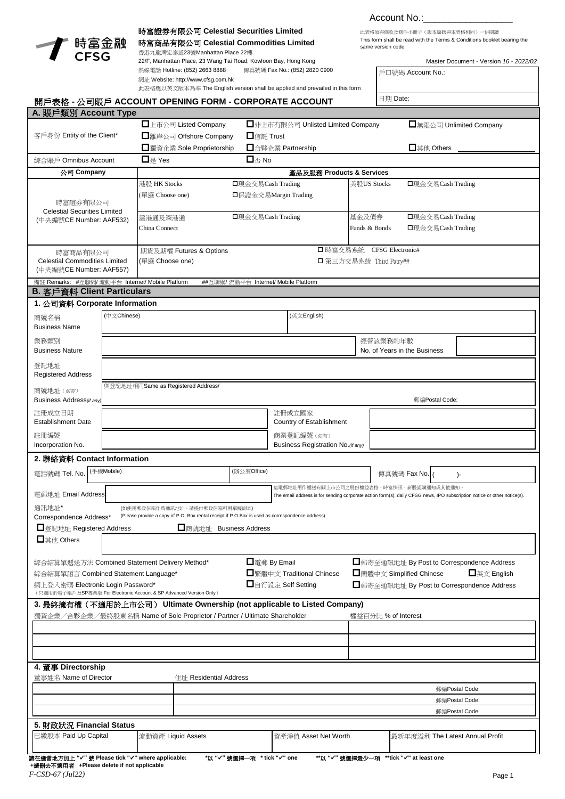

時富商品有限公司 **Celestial Commodities Limited**

時富證券有限公司 **Celestial Securities Limited** 香港九龍灣宏泰道23號Manhattan Place 22樓 22/F, Manhattan Place, 23 Wang Tai Road, Kowloon Bay, Hong Kong 熱線電話 Hotline: (852) 2663 8888 傳真號碼 Fax No.: (852) 2820 0900

## Account No.:

戶口號碼 Account No.:

This form shall be read with the Terms & Conditions booklet bearing the same version code 此表格須與條款及條件小冊子(版本編碼與本表格相同)一併閲讀

Master Document - Version *16 - 2022/02*

| 網址 Website: http://www.cfsg.com.hk<br>此表格應以英文版本為準 The English version shall be applied and prevailed in this form                                                                                                                                                                                                                                                                                                 |                                                      |                                                                                                                                                       |                                       |                                                   |                                         |                     |                         |                                        |                                                                                                                         |  |
|-------------------------------------------------------------------------------------------------------------------------------------------------------------------------------------------------------------------------------------------------------------------------------------------------------------------------------------------------------------------------------------------------------------------|------------------------------------------------------|-------------------------------------------------------------------------------------------------------------------------------------------------------|---------------------------------------|---------------------------------------------------|-----------------------------------------|---------------------|-------------------------|----------------------------------------|-------------------------------------------------------------------------------------------------------------------------|--|
|                                                                                                                                                                                                                                                                                                                                                                                                                   |                                                      | 開戶表格 - 公司賬戶 ACCOUNT OPENING FORM - CORPORATE ACCOUNT                                                                                                  |                                       |                                                   |                                         | 日期 Date:            |                         |                                        |                                                                                                                         |  |
|                                                                                                                                                                                                                                                                                                                                                                                                                   |                                                      |                                                                                                                                                       |                                       |                                                   |                                         |                     |                         |                                        |                                                                                                                         |  |
| A. 賬戶類別 Account Type<br>客戶身份 Entity of the Client*<br>綜合賬戶 Omnibus Account                                                                                                                                                                                                                                                                                                                                        |                                                      | □上市公司 Listed Company<br>□非上市有限公司 Unlisted Limited Company<br>□離岸公司 Offshore Company<br>$\Box$ 信託 Trust                                                |                                       |                                                   |                                         |                     | □無限公司 Unlimited Company |                                        |                                                                                                                         |  |
|                                                                                                                                                                                                                                                                                                                                                                                                                   |                                                      | □獨資企業 Sole Proprietorship<br>□ 合夥企業 Partnership                                                                                                       |                                       |                                                   |                                         |                     |                         | $\Box$ $\downarrow$ $\&$ Others        |                                                                                                                         |  |
|                                                                                                                                                                                                                                                                                                                                                                                                                   |                                                      | $\Box_{\overline{\bigtriangleup}}$ No<br>$\Box$ $\frac{1}{2}$ Yes                                                                                     |                                       |                                                   |                                         |                     |                         |                                        |                                                                                                                         |  |
| 公司 Company                                                                                                                                                                                                                                                                                                                                                                                                        |                                                      |                                                                                                                                                       |                                       |                                                   | 產品及服務 Products & Services               |                     |                         |                                        |                                                                                                                         |  |
| 時富證券有限公司<br><b>Celestial Securities Limited</b>                                                                                                                                                                                                                                                                                                                                                                   |                                                      | 港股 HK Stocks<br>□現金交易Cash Trading<br>(單選 Choose one)                                                                                                  |                                       |                                                   | 美股US Stocks<br>□保證金交易Margin Trading     |                     |                         | □現金交易Cash Trading                      |                                                                                                                         |  |
| (中央編號CE Number: AAF532)                                                                                                                                                                                                                                                                                                                                                                                           |                                                      | □現金交易Cash Trading<br>滬港通及深港通<br>China Connect                                                                                                         |                                       |                                                   | 基金及債券<br>Funds & Bonds                  |                     |                         | □現金交易Cash Trading<br>□現金交易Cash Trading |                                                                                                                         |  |
| 時富商品有限公司<br><b>Celestial Commodities Limited</b><br>(中央編號CE Number: AAF557)                                                                                                                                                                                                                                                                                                                                       |                                                      | □ 時富交易系統 CFSG Electronic#<br>期貨及期權 Futures & Options<br>(單選 Choose one)<br>□ 第三方交易系統 Third Patry##                                                    |                                       |                                                   |                                         |                     |                         |                                        |                                                                                                                         |  |
| 備註 Remarks: #互聯網/ 流動平台 Internet/ Mobile Platform<br><b>B. 客戶資料 Client Particulars</b>                                                                                                                                                                                                                                                                                                                             |                                                      |                                                                                                                                                       | ##互聯網/ 流動平台 Internet/ Mobile Platform |                                                   |                                         |                     |                         |                                        |                                                                                                                         |  |
| 1. 公司資料 Corporate Information                                                                                                                                                                                                                                                                                                                                                                                     |                                                      |                                                                                                                                                       |                                       |                                                   |                                         |                     |                         |                                        |                                                                                                                         |  |
| 商號名稱<br><b>Business Name</b>                                                                                                                                                                                                                                                                                                                                                                                      | (中文Chinese)<br>(英文English)                           |                                                                                                                                                       |                                       |                                                   |                                         |                     |                         |                                        |                                                                                                                         |  |
| 業務類別<br><b>Business Nature</b>                                                                                                                                                                                                                                                                                                                                                                                    |                                                      |                                                                                                                                                       |                                       | 經營該業務的年數                                          |                                         |                     |                         | No. of Years in the Business           |                                                                                                                         |  |
| 登記地址<br><b>Registered Address</b>                                                                                                                                                                                                                                                                                                                                                                                 |                                                      |                                                                                                                                                       |                                       |                                                   |                                         |                     |                         |                                        |                                                                                                                         |  |
| 商號地址 (如有)<br>Business Address (if any)                                                                                                                                                                                                                                                                                                                                                                            | 與登記地址相同Same as Registered Address/<br>郵編Postal Code: |                                                                                                                                                       |                                       |                                                   |                                         |                     |                         |                                        |                                                                                                                         |  |
| 註冊成立日期<br><b>Establishment Date</b>                                                                                                                                                                                                                                                                                                                                                                               |                                                      |                                                                                                                                                       |                                       |                                                   | 註冊成立國家<br>Country of Establishment      |                     |                         |                                        |                                                                                                                         |  |
| 註冊編號<br>Incorporation No.                                                                                                                                                                                                                                                                                                                                                                                         |                                                      |                                                                                                                                                       |                                       | 商業登記編號 (如有)<br>Business Registration No. (if any) |                                         |                     |                         |                                        |                                                                                                                         |  |
| 2. 聯絡資料 Contact Information                                                                                                                                                                                                                                                                                                                                                                                       |                                                      |                                                                                                                                                       |                                       |                                                   |                                         |                     |                         |                                        |                                                                                                                         |  |
| 電話號碼 Tel. No.                                                                                                                                                                                                                                                                                                                                                                                                     | (手機Mobile)                                           | (辦公室Office)                                                                                                                                           |                                       |                                                   | 這電郵地址用作遞送有關上市公司之股份權益表格、時富快訊、新股認購通知或其他通知 |                     |                         | 傳真號碼 Fax No.<br>$\mathcal{L}$          |                                                                                                                         |  |
| 電郵地址 Email Address                                                                                                                                                                                                                                                                                                                                                                                                |                                                      |                                                                                                                                                       |                                       |                                                   |                                         |                     |                         |                                        | The email address is for sending corporate action form(s), daily CFSG news, IPO subscription notice or other notice(s). |  |
| 通訊地址*<br>(如使用郵政信箱作爲通訊地址,請提供郵政信箱租用單據副本)<br>(Please provide a copy of P.O. Box rental receipt if P.O Box is used as correspondence address)<br>Correspondence Address*<br>□登記地址 Registered Address<br>□商號地址 Business Address                                                                                                                                                                                        |                                                      |                                                                                                                                                       |                                       |                                                   |                                         |                     |                         |                                        |                                                                                                                         |  |
| $\n  □$ # the Others                                                                                                                                                                                                                                                                                                                                                                                              |                                                      |                                                                                                                                                       |                                       |                                                   |                                         |                     |                         |                                        |                                                                                                                         |  |
| □ 電郵 By Email<br>□郵寄至通訊地址 By Post to Correspondence Address<br>綜合結算單遞送方法 Combined Statement Delivery Method*<br>□繁體中文 Traditional Chinese<br>$\Box$ 英文 English<br>□簡體中文 Simplified Chinese<br>綜合結算單語言 Combined Statement Language*<br>□自行設定 Self Setting<br>網上登入密碼 Electronic Login Password*<br>■郵寄至通訊地址 By Post to Correspondence Address<br>(只適用於電子賬戶及SP專業版 For Electronic Account & SP Advanced Version Only) |                                                      |                                                                                                                                                       |                                       |                                                   |                                         |                     |                         |                                        |                                                                                                                         |  |
|                                                                                                                                                                                                                                                                                                                                                                                                                   |                                                      | 3. 最終擁有權(不適用於上市公司) Ultimate Ownership (not applicable to Listed Company)<br>獨資企業/合夥企業/最終股東名稱 Name of Sole Proprietor / Partner / Ultimate Shareholder |                                       |                                                   |                                         | 權益百分比 % of Interest |                         |                                        |                                                                                                                         |  |
|                                                                                                                                                                                                                                                                                                                                                                                                                   |                                                      |                                                                                                                                                       |                                       |                                                   |                                         |                     |                         |                                        |                                                                                                                         |  |
|                                                                                                                                                                                                                                                                                                                                                                                                                   |                                                      |                                                                                                                                                       |                                       |                                                   |                                         |                     |                         |                                        |                                                                                                                         |  |
| 4. 董事 Directorship<br>董事姓名 Name of Director                                                                                                                                                                                                                                                                                                                                                                       |                                                      | 住址 Residential Address                                                                                                                                |                                       |                                                   |                                         |                     |                         |                                        |                                                                                                                         |  |
|                                                                                                                                                                                                                                                                                                                                                                                                                   |                                                      |                                                                                                                                                       |                                       |                                                   |                                         | 郵編Postal Code:      |                         |                                        |                                                                                                                         |  |
|                                                                                                                                                                                                                                                                                                                                                                                                                   |                                                      |                                                                                                                                                       |                                       |                                                   |                                         |                     | 郵編Postal Code:          |                                        |                                                                                                                         |  |
|                                                                                                                                                                                                                                                                                                                                                                                                                   |                                                      |                                                                                                                                                       |                                       |                                                   |                                         |                     |                         |                                        | 郵編Postal Code:                                                                                                          |  |
| 5. 財政狀況 Financial Status                                                                                                                                                                                                                                                                                                                                                                                          |                                                      |                                                                                                                                                       |                                       |                                                   |                                         |                     |                         |                                        |                                                                                                                         |  |
| 已繳股本 Paid Up Capital                                                                                                                                                                                                                                                                                                                                                                                              |                                                      | 流動資產 Liquid Assets                                                                                                                                    |                                       |                                                   | 資產淨值 Asset Net Worth                    |                     |                         | 最新年度溢利 The Latest Annual Profit        |                                                                                                                         |  |
| 請在適當地方加上 "✔" 號 Please tick "✔" where applicable:<br>+諸刪去不滿用者 +Please delete if not applicable                                                                                                                                                                                                                                                                                                                     |                                                      |                                                                                                                                                       | *以 "√" 號選擇一項 * tick "√" one           |                                                   |                                         |                     |                         | **以 "√"號選擇最少一項 **tick "√" at least one |                                                                                                                         |  |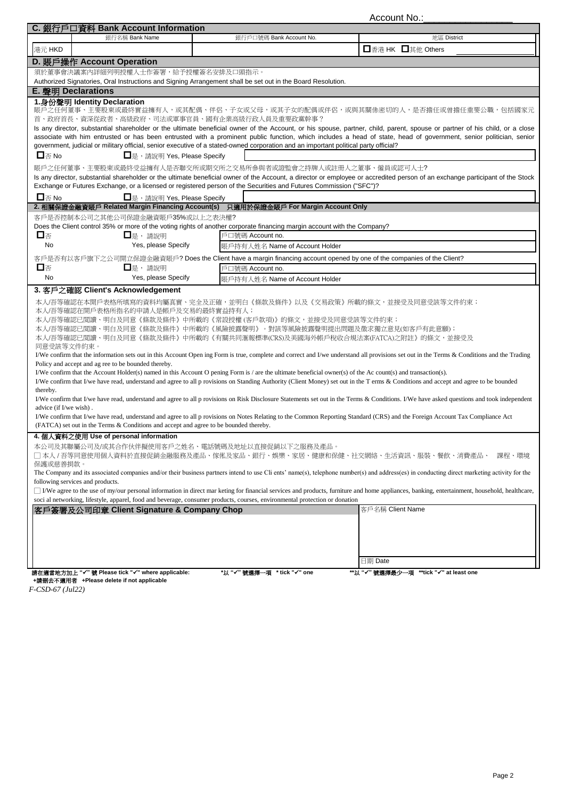Account No.:

| C. 銀行戶口資料 Bank Account Information                                                                                                                                                                                                                                                                                                                                                                                                                                                                                                                                                                                                                                                                                                                                                                                                                                                                                                                                                                                                                                                                                                                                                                                                                                                                                                                                                                                                                                 |                                | Auuuin Inu.                                                                                                                                                                   |  |  |  |  |  |  |
|--------------------------------------------------------------------------------------------------------------------------------------------------------------------------------------------------------------------------------------------------------------------------------------------------------------------------------------------------------------------------------------------------------------------------------------------------------------------------------------------------------------------------------------------------------------------------------------------------------------------------------------------------------------------------------------------------------------------------------------------------------------------------------------------------------------------------------------------------------------------------------------------------------------------------------------------------------------------------------------------------------------------------------------------------------------------------------------------------------------------------------------------------------------------------------------------------------------------------------------------------------------------------------------------------------------------------------------------------------------------------------------------------------------------------------------------------------------------|--------------------------------|-------------------------------------------------------------------------------------------------------------------------------------------------------------------------------|--|--|--|--|--|--|
| 銀行名稱 Bank Name                                                                                                                                                                                                                                                                                                                                                                                                                                                                                                                                                                                                                                                                                                                                                                                                                                                                                                                                                                                                                                                                                                                                                                                                                                                                                                                                                                                                                                                     | 銀行戶口號碼 Bank Account No.        | 地區 District                                                                                                                                                                   |  |  |  |  |  |  |
| 港元 HKD                                                                                                                                                                                                                                                                                                                                                                                                                                                                                                                                                                                                                                                                                                                                                                                                                                                                                                                                                                                                                                                                                                                                                                                                                                                                                                                                                                                                                                                             |                                | □香港 HK □其他 Others                                                                                                                                                             |  |  |  |  |  |  |
| D. 賬戶操作 Account Operation                                                                                                                                                                                                                                                                                                                                                                                                                                                                                                                                                                                                                                                                                                                                                                                                                                                                                                                                                                                                                                                                                                                                                                                                                                                                                                                                                                                                                                          |                                |                                                                                                                                                                               |  |  |  |  |  |  |
| 須於董事會決議案內詳細列明授權人士作簽署,給予授權簽名安排及口頭指示。                                                                                                                                                                                                                                                                                                                                                                                                                                                                                                                                                                                                                                                                                                                                                                                                                                                                                                                                                                                                                                                                                                                                                                                                                                                                                                                                                                                                                                |                                |                                                                                                                                                                               |  |  |  |  |  |  |
| Authorized Signatories, Oral Instructions and Signing Arrangement shall be set out in the Board Resolution.                                                                                                                                                                                                                                                                                                                                                                                                                                                                                                                                                                                                                                                                                                                                                                                                                                                                                                                                                                                                                                                                                                                                                                                                                                                                                                                                                        |                                |                                                                                                                                                                               |  |  |  |  |  |  |
| <b>E. 聲明 Declarations</b>                                                                                                                                                                                                                                                                                                                                                                                                                                                                                                                                                                                                                                                                                                                                                                                                                                                                                                                                                                                                                                                                                                                                                                                                                                                                                                                                                                                                                                          |                                |                                                                                                                                                                               |  |  |  |  |  |  |
| 1.身份聲明 Identity Declaration                                                                                                                                                                                                                                                                                                                                                                                                                                                                                                                                                                                                                                                                                                                                                                                                                                                                                                                                                                                                                                                                                                                                                                                                                                                                                                                                                                                                                                        |                                |                                                                                                                                                                               |  |  |  |  |  |  |
|                                                                                                                                                                                                                                                                                                                                                                                                                                                                                                                                                                                                                                                                                                                                                                                                                                                                                                                                                                                                                                                                                                                                                                                                                                                                                                                                                                                                                                                                    |                                | 賬戶之任何董事、主要股東或最終實益擁有人,或其配偶、伴侶、子女或父母,或其子女的配偶或伴侶,或與其關係密切的人,是否擔任或曾擔任重要公職,包括國家元                                                                                                    |  |  |  |  |  |  |
| 首、政府首長、資深從政者、高級政府、司法或軍事官員、國有企業高級行政人員及重要政黨幹事?                                                                                                                                                                                                                                                                                                                                                                                                                                                                                                                                                                                                                                                                                                                                                                                                                                                                                                                                                                                                                                                                                                                                                                                                                                                                                                                                                                                                                       |                                | Is any director, substantial shareholder or the ultimate beneficial owner of the Account, or his spouse, partner, child, parent, spouse or partner of his child, or a close   |  |  |  |  |  |  |
|                                                                                                                                                                                                                                                                                                                                                                                                                                                                                                                                                                                                                                                                                                                                                                                                                                                                                                                                                                                                                                                                                                                                                                                                                                                                                                                                                                                                                                                                    |                                | associate with him entrusted or has been entrusted with a prominent public function, which includes a head of state, head of government, senior politician, senior            |  |  |  |  |  |  |
| government, judicial or military official, senior executive of a stated-owned corporation and an important political party official?                                                                                                                                                                                                                                                                                                                                                                                                                                                                                                                                                                                                                                                                                                                                                                                                                                                                                                                                                                                                                                                                                                                                                                                                                                                                                                                               |                                |                                                                                                                                                                               |  |  |  |  |  |  |
| $\square$ $\overline{\otimes}$ No<br>□是, 請說明 Yes, Please Specify                                                                                                                                                                                                                                                                                                                                                                                                                                                                                                                                                                                                                                                                                                                                                                                                                                                                                                                                                                                                                                                                                                                                                                                                                                                                                                                                                                                                   |                                |                                                                                                                                                                               |  |  |  |  |  |  |
| 賬戶之任何董事、主要股東或最終受益擁有人是否聯交所或期交所之交易所參與者或證監會之持牌人或註冊人之董事、僱員或認可人士?                                                                                                                                                                                                                                                                                                                                                                                                                                                                                                                                                                                                                                                                                                                                                                                                                                                                                                                                                                                                                                                                                                                                                                                                                                                                                                                                                                                                       |                                |                                                                                                                                                                               |  |  |  |  |  |  |
|                                                                                                                                                                                                                                                                                                                                                                                                                                                                                                                                                                                                                                                                                                                                                                                                                                                                                                                                                                                                                                                                                                                                                                                                                                                                                                                                                                                                                                                                    |                                | Is any director, substantial shareholder or the ultimate beneficial owner of the Account, a director or employee or accredited person of an exchange participant of the Stock |  |  |  |  |  |  |
| Exchange or Futures Exchange, or a licensed or registered person of the Securities and Futures Commission ("SFC")?                                                                                                                                                                                                                                                                                                                                                                                                                                                                                                                                                                                                                                                                                                                                                                                                                                                                                                                                                                                                                                                                                                                                                                                                                                                                                                                                                 |                                |                                                                                                                                                                               |  |  |  |  |  |  |
| □是, 請說明 Yes, Please Specify<br>$\square$ $\overline{\vartriangle}$ No                                                                                                                                                                                                                                                                                                                                                                                                                                                                                                                                                                                                                                                                                                                                                                                                                                                                                                                                                                                                                                                                                                                                                                                                                                                                                                                                                                                              |                                |                                                                                                                                                                               |  |  |  |  |  |  |
| 2. 相關保證金融資賬戶 Related Margin Financing Account(s) 只適用於保證金賬戶 For Margin Account Only                                                                                                                                                                                                                                                                                                                                                                                                                                                                                                                                                                                                                                                                                                                                                                                                                                                                                                                                                                                                                                                                                                                                                                                                                                                                                                                                                                                 |                                |                                                                                                                                                                               |  |  |  |  |  |  |
| 客戶是否控制本公司之其他公司保證金融資賬戶35%或以上之表決權?                                                                                                                                                                                                                                                                                                                                                                                                                                                                                                                                                                                                                                                                                                                                                                                                                                                                                                                                                                                                                                                                                                                                                                                                                                                                                                                                                                                                                                   |                                |                                                                                                                                                                               |  |  |  |  |  |  |
| Does the Client control 35% or more of the voting rights of another corporate financing margin account with the Company?                                                                                                                                                                                                                                                                                                                                                                                                                                                                                                                                                                                                                                                                                                                                                                                                                                                                                                                                                                                                                                                                                                                                                                                                                                                                                                                                           |                                |                                                                                                                                                                               |  |  |  |  |  |  |
| 口否<br>□是,請說明<br>No<br>Yes, please Specify                                                                                                                                                                                                                                                                                                                                                                                                                                                                                                                                                                                                                                                                                                                                                                                                                                                                                                                                                                                                                                                                                                                                                                                                                                                                                                                                                                                                                          | 戶口號碼 Account no.               |                                                                                                                                                                               |  |  |  |  |  |  |
|                                                                                                                                                                                                                                                                                                                                                                                                                                                                                                                                                                                                                                                                                                                                                                                                                                                                                                                                                                                                                                                                                                                                                                                                                                                                                                                                                                                                                                                                    | 賬戶持有人姓名 Name of Account Holder |                                                                                                                                                                               |  |  |  |  |  |  |
| 客戶是否有以客戶旗下之公司開立保證金融資賬戶? Does the Client have a margin financing account opened by one of the companies of the Client?                                                                                                                                                                                                                                                                                                                                                                                                                                                                                                                                                                                                                                                                                                                                                                                                                                                                                                                                                                                                                                                                                                                                                                                                                                                                                                                                              |                                |                                                                                                                                                                               |  |  |  |  |  |  |
| 口否<br>□是,講說明                                                                                                                                                                                                                                                                                                                                                                                                                                                                                                                                                                                                                                                                                                                                                                                                                                                                                                                                                                                                                                                                                                                                                                                                                                                                                                                                                                                                                                                       | 戶口號碼 Account no.               |                                                                                                                                                                               |  |  |  |  |  |  |
| Yes, please Specify<br><b>No</b><br>3. 客戶之確認 Client's Acknowledgement                                                                                                                                                                                                                                                                                                                                                                                                                                                                                                                                                                                                                                                                                                                                                                                                                                                                                                                                                                                                                                                                                                                                                                                                                                                                                                                                                                                              | 賬戶持有人姓名 Name of Account Holder |                                                                                                                                                                               |  |  |  |  |  |  |
| 本人/吾等確認在本開戶表格所填寫的資料均屬真實、完全及正確,並明白《條款及條件》以及《交易政策》所載的條文,並接受及同意受該等文件約束;<br>本人/吾等確認在開戶表格所指名的申請人是帳戶及交易的最終實益持有人;<br>本人/吾等確認已閲讀、明白及同意《條款及條件》中所載的《常設授權(客戶款項)》的條文,並接受及同意受該等文件約束;<br>本人/吾等確認已閲讀、明白及同意《條款及條件》中所載的《風險披露聲明》。對該等風險披露聲明提出問題及徵求獨立意見(如客戶有此意願);<br>本人/吾等確認已閲讀、明白及同意《條款及條件》中所載的《有關共同滙報標準(CRS)及美國海外帳戶稅收合規法案(FATCA)之附註》的條文,並接受及<br>同意受該等文件約束。<br>I/We confirm that the information sets out in this Account Open ing Form is true, complete and correct and I/we understand all provisions set out in the Terms & Conditions and the Trading<br>Policy and accept and ag ree to be bounded thereby.<br>I/We confirm that the Account Holder(s) named in this Account O pening Form is / are the ultimate beneficial owner(s) of the Account(s) and transaction(s).<br>I/We confirm that I/we have read, understand and agree to all p rovisions on Standing Authority (Client Money) set out in the T erms & Conditions and accept and agree to be bounded<br>thereby.<br>I/We confirm that I/we have read, understand and agree to all p rovisions on Risk Disclosure Statements set out in the Terms & Conditions. I/We have asked questions and took independent<br>advice (if I/we wish).<br>I/We confirm that I/we have read, understand and agree to all p rovisions on Notes Relating to the Common Reporting Standard (CRS) and the Foreign Account Tax Compliance Act<br>(FATCA) set out in the Terms & Conditions and accept and agree to be bounded thereby. |                                |                                                                                                                                                                               |  |  |  |  |  |  |
| 4. 個人資料之使用 Use of personal information<br>本公司及其聯屬公司及/或其合作伙伴擬使用客戶之姓名、電話號碼及地址以直接促銷以下之服務及產品<br>□ 本人 / 吾等同意使用個人資料於直接促銷金融服務及產品、傢俬及家品、銀行、娛樂、家居、健康和保健、社交網絡、生活資訊、服裝、餐飲、消費產品、<br>課程、環境                                                                                                                                                                                                                                                                                                                                                                                                                                                                                                                                                                                                                                                                                                                                                                                                                                                                                                                                                                                                                                                                                                                                                                                                                                                                                      |                                |                                                                                                                                                                               |  |  |  |  |  |  |
| 保護或慈善捐款。<br>The Company and its associated companies and/or their business partners intend to use Cli ents' name(s), telephone number(s) and address(es) in conducting direct marketing activity for the                                                                                                                                                                                                                                                                                                                                                                                                                                                                                                                                                                                                                                                                                                                                                                                                                                                                                                                                                                                                                                                                                                                                                                                                                                                           |                                |                                                                                                                                                                               |  |  |  |  |  |  |
| following services and products.                                                                                                                                                                                                                                                                                                                                                                                                                                                                                                                                                                                                                                                                                                                                                                                                                                                                                                                                                                                                                                                                                                                                                                                                                                                                                                                                                                                                                                   |                                |                                                                                                                                                                               |  |  |  |  |  |  |
| □ I/We agree to the use of my/our personal information in direct mar keting for financial services and products, furniture and home appliances, banking, entertainment, household, healthcare,<br>soci al networking, lifestyle, apparel, food and beverage, consumer products, courses, environmental protection or donation                                                                                                                                                                                                                                                                                                                                                                                                                                                                                                                                                                                                                                                                                                                                                                                                                                                                                                                                                                                                                                                                                                                                      |                                |                                                                                                                                                                               |  |  |  |  |  |  |
| 客戶名稱 Client Name<br>客戶簽署及公司印章 Client Signature & Company Chop                                                                                                                                                                                                                                                                                                                                                                                                                                                                                                                                                                                                                                                                                                                                                                                                                                                                                                                                                                                                                                                                                                                                                                                                                                                                                                                                                                                                      |                                |                                                                                                                                                                               |  |  |  |  |  |  |
|                                                                                                                                                                                                                                                                                                                                                                                                                                                                                                                                                                                                                                                                                                                                                                                                                                                                                                                                                                                                                                                                                                                                                                                                                                                                                                                                                                                                                                                                    |                                |                                                                                                                                                                               |  |  |  |  |  |  |
|                                                                                                                                                                                                                                                                                                                                                                                                                                                                                                                                                                                                                                                                                                                                                                                                                                                                                                                                                                                                                                                                                                                                                                                                                                                                                                                                                                                                                                                                    | 日期 Date                        |                                                                                                                                                                               |  |  |  |  |  |  |
| 請在適當地方加上 "√"號 Please tick "√" where applicable:                                                                                                                                                                                                                                                                                                                                                                                                                                                                                                                                                                                                                                                                                                                                                                                                                                                                                                                                                                                                                                                                                                                                                                                                                                                                                                                                                                                                                    | *以 "✔" 號選擇一項<br>* tick "✔" one | **以 "√"號選擇最少一項<br>**tick "√" at least one                                                                                                                                     |  |  |  |  |  |  |

 **+**請刪去不適用者 **+Please delete if not applicable** 

*F-CSD-67 (Jul22)*